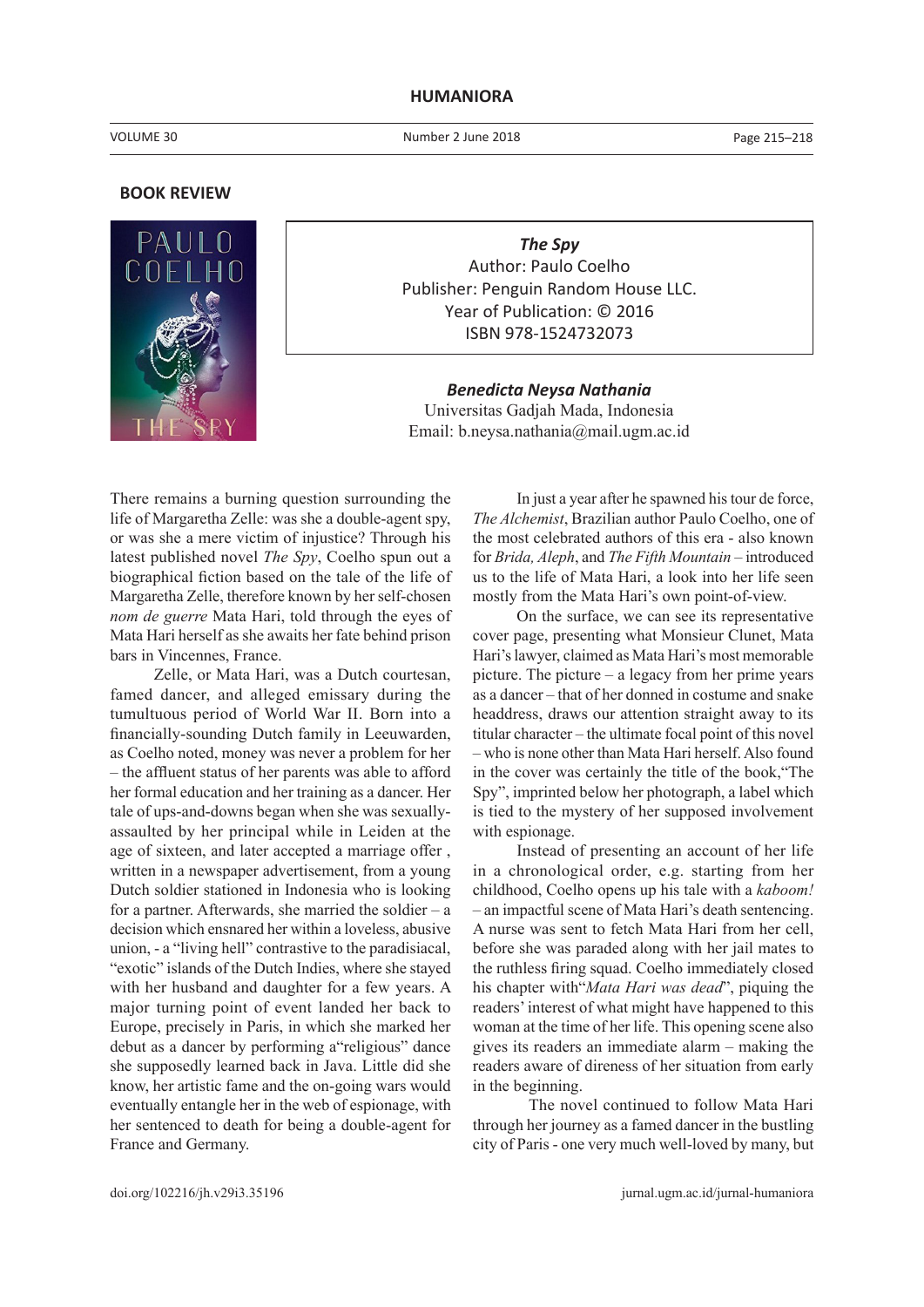## **HUMANIORA**

Number 2 June 2018

Page 215–218

## **BOOK REVIEW**



*The Spy* Author: Paulo Coelho Publisher: Penguin Random House LLC. Year of Publication: © 2016 ISBN 978-1524732073

*Benedicta Neysa Nathania* Universitas Gadjah Mada, Indonesia Email: b.neysa.nathania@mail.ugm.ac.id

There remains a burning question surrounding the life of Margaretha Zelle: was she a double-agent spy, or was she a mere victim of injustice? Through his latest published novel *The Spy*, Coelho spun out a biographical fiction based on the tale of the life of Margaretha Zelle, therefore known by her self-chosen *nom de guerre* Mata Hari, told through the eyes of Mata Hari herself as she awaits her fate behind prison bars in Vincennes, France.

Zelle, or Mata Hari, was a Dutch courtesan, famed dancer, and alleged emissary during the tumultuous period of World War II. Born into a financially-sounding Dutch family in Leeuwarden, as Coelho noted, money was never a problem for her – the affluent status of her parents was able to afford her formal education and her training as a dancer. Her tale of ups-and-downs began when she was sexuallyassaulted by her principal while in Leiden at the age of sixteen, and later accepted a marriage offer , written in a newspaper advertisement, from a young Dutch soldier stationed in Indonesia who is looking for a partner. Afterwards, she married the soldier – a decision which ensnared her within a loveless, abusive union, - a "living hell" contrastive to the paradisiacal, "exotic" islands of the Dutch Indies, where she stayed with her husband and daughter for a few years. A major turning point of event landed her back to Europe, precisely in Paris, in which she marked her debut as a dancer by performing a"religious" dance she supposedly learned back in Java. Little did she know, her artistic fame and the on-going wars would eventually entangle her in the web of espionage, with her sentenced to death for being a double-agent for France and Germany.

In just a year after he spawned his tour de force, *The Alchemist*, Brazilian author Paulo Coelho, one of the most celebrated authors of this era - also known for *Brida, Aleph*, and *The Fifth Mountain* – introduced us to the life of Mata Hari, a look into her life seen mostly from the Mata Hari's own point-of-view.

On the surface, we can see its representative cover page, presenting what Monsieur Clunet, Mata Hari's lawyer, claimed as Mata Hari's most memorable picture. The picture – a legacy from her prime years as a dancer – that of her donned in costume and snake headdress, draws our attention straight away to its titular character – the ultimate focal point of this novel – who is none other than Mata Hari herself. Also found in the cover was certainly the title of the book,"The Spy", imprinted below her photograph, a label which is tied to the mystery of her supposed involvement with espionage.

Instead of presenting an account of her life in a chronological order, e.g. starting from her childhood, Coelho opens up his tale with a *kaboom!* – an impactful scene of Mata Hari's death sentencing. A nurse was sent to fetch Mata Hari from her cell, before she was paraded along with her jail mates to the ruthless firing squad. Coelho immediately closed his chapter with"*Mata Hari was dead*", piquing the readers' interest of what might have happened to this woman at the time of her life. This opening scene also gives its readers an immediate alarm – making the readers aware of direness of her situation from early in the beginning.

 The novel continued to follow Mata Hari through her journey as a famed dancer in the bustling city of Paris - one very much well-loved by many, but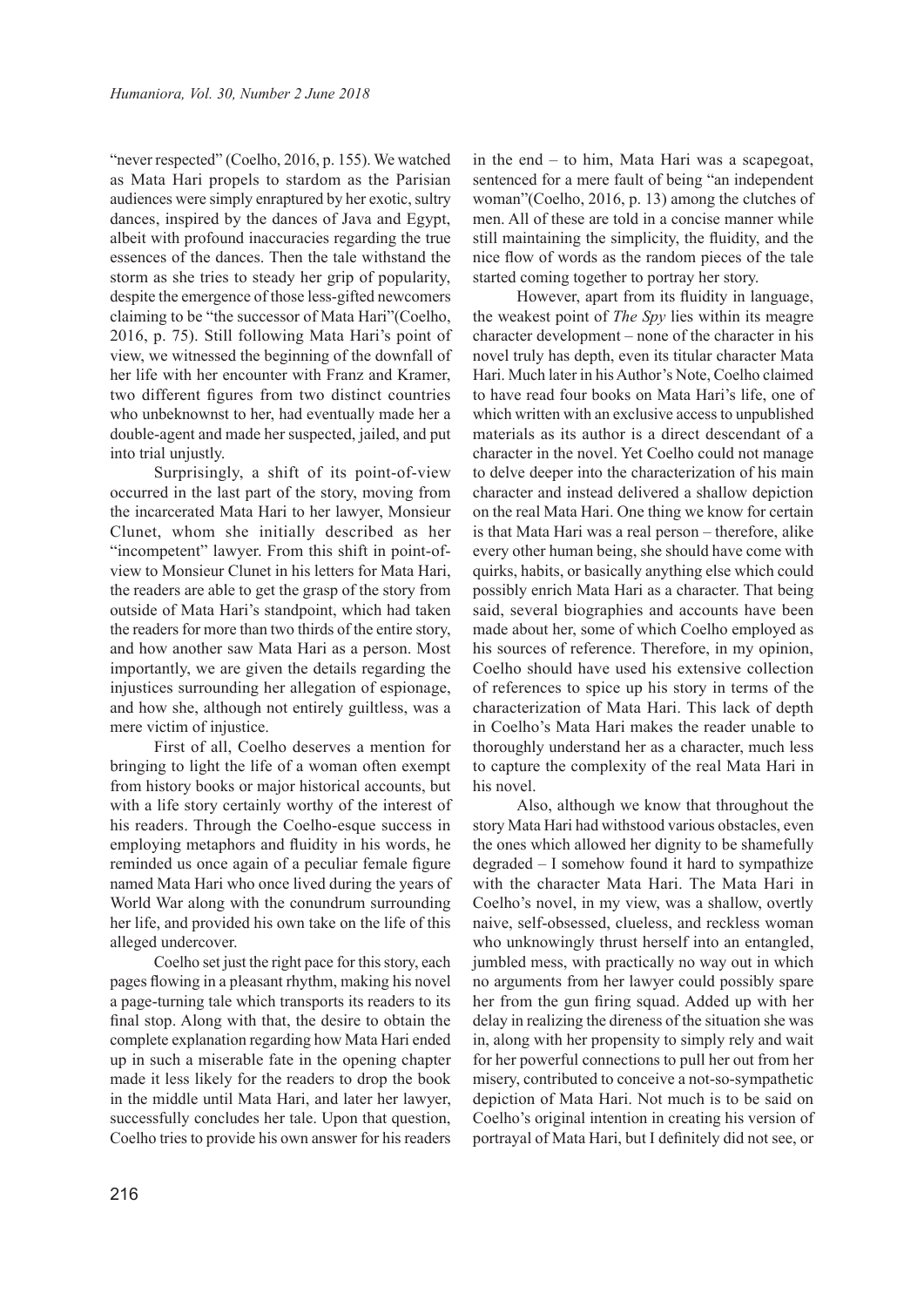"never respected" (Coelho, 2016, p. 155). We watched as Mata Hari propels to stardom as the Parisian audiences were simply enraptured by her exotic, sultry dances, inspired by the dances of Java and Egypt, albeit with profound inaccuracies regarding the true essences of the dances. Then the tale withstand the storm as she tries to steady her grip of popularity, despite the emergence of those less-gifted newcomers claiming to be "the successor of Mata Hari"(Coelho, 2016, p. 75). Still following Mata Hari's point of view, we witnessed the beginning of the downfall of her life with her encounter with Franz and Kramer, two different figures from two distinct countries who unbeknownst to her, had eventually made her a double-agent and made her suspected, jailed, and put into trial unjustly.

Surprisingly, a shift of its point-of-view occurred in the last part of the story, moving from the incarcerated Mata Hari to her lawyer, Monsieur Clunet, whom she initially described as her "incompetent" lawyer. From this shift in point-ofview to Monsieur Clunet in his letters for Mata Hari, the readers are able to get the grasp of the story from outside of Mata Hari's standpoint, which had taken the readers for more than two thirds of the entire story, and how another saw Mata Hari as a person. Most importantly, we are given the details regarding the injustices surrounding her allegation of espionage, and how she, although not entirely guiltless, was a mere victim of injustice.

First of all, Coelho deserves a mention for bringing to light the life of a woman often exempt from history books or major historical accounts, but with a life story certainly worthy of the interest of his readers. Through the Coelho-esque success in employing metaphors and fluidity in his words, he reminded us once again of a peculiar female figure named Mata Hari who once lived during the years of World War along with the conundrum surrounding her life, and provided his own take on the life of this alleged undercover.

Coelho set just the right pace for this story, each pages flowing in a pleasant rhythm, making his novel a page-turning tale which transports its readers to its final stop. Along with that, the desire to obtain the complete explanation regarding how Mata Hari ended up in such a miserable fate in the opening chapter made it less likely for the readers to drop the book in the middle until Mata Hari, and later her lawyer, successfully concludes her tale. Upon that question, Coelho tries to provide his own answer for his readers

in the end – to him, Mata Hari was a scapegoat, sentenced for a mere fault of being "an independent woman"(Coelho, 2016, p. 13) among the clutches of men. All of these are told in a concise manner while still maintaining the simplicity, the fluidity, and the nice flow of words as the random pieces of the tale started coming together to portray her story.

However, apart from its fluidity in language, the weakest point of *The Spy* lies within its meagre character development – none of the character in his novel truly has depth, even its titular character Mata Hari. Much later in his Author's Note, Coelho claimed to have read four books on Mata Hari's life, one of which written with an exclusive access to unpublished materials as its author is a direct descendant of a character in the novel. Yet Coelho could not manage to delve deeper into the characterization of his main character and instead delivered a shallow depiction on the real Mata Hari. One thing we know for certain is that Mata Hari was a real person – therefore, alike every other human being, she should have come with quirks, habits, or basically anything else which could possibly enrich Mata Hari as a character. That being said, several biographies and accounts have been made about her, some of which Coelho employed as his sources of reference. Therefore, in my opinion, Coelho should have used his extensive collection of references to spice up his story in terms of the characterization of Mata Hari. This lack of depth in Coelho's Mata Hari makes the reader unable to thoroughly understand her as a character, much less to capture the complexity of the real Mata Hari in his novel.

Also, although we know that throughout the story Mata Hari had withstood various obstacles, even the ones which allowed her dignity to be shamefully degraded – I somehow found it hard to sympathize with the character Mata Hari. The Mata Hari in Coelho's novel, in my view, was a shallow, overtly naive, self-obsessed, clueless, and reckless woman who unknowingly thrust herself into an entangled, jumbled mess, with practically no way out in which no arguments from her lawyer could possibly spare her from the gun firing squad. Added up with her delay in realizing the direness of the situation she was in, along with her propensity to simply rely and wait for her powerful connections to pull her out from her misery, contributed to conceive a not-so-sympathetic depiction of Mata Hari. Not much is to be said on Coelho's original intention in creating his version of portrayal of Mata Hari, but I definitely did not see, or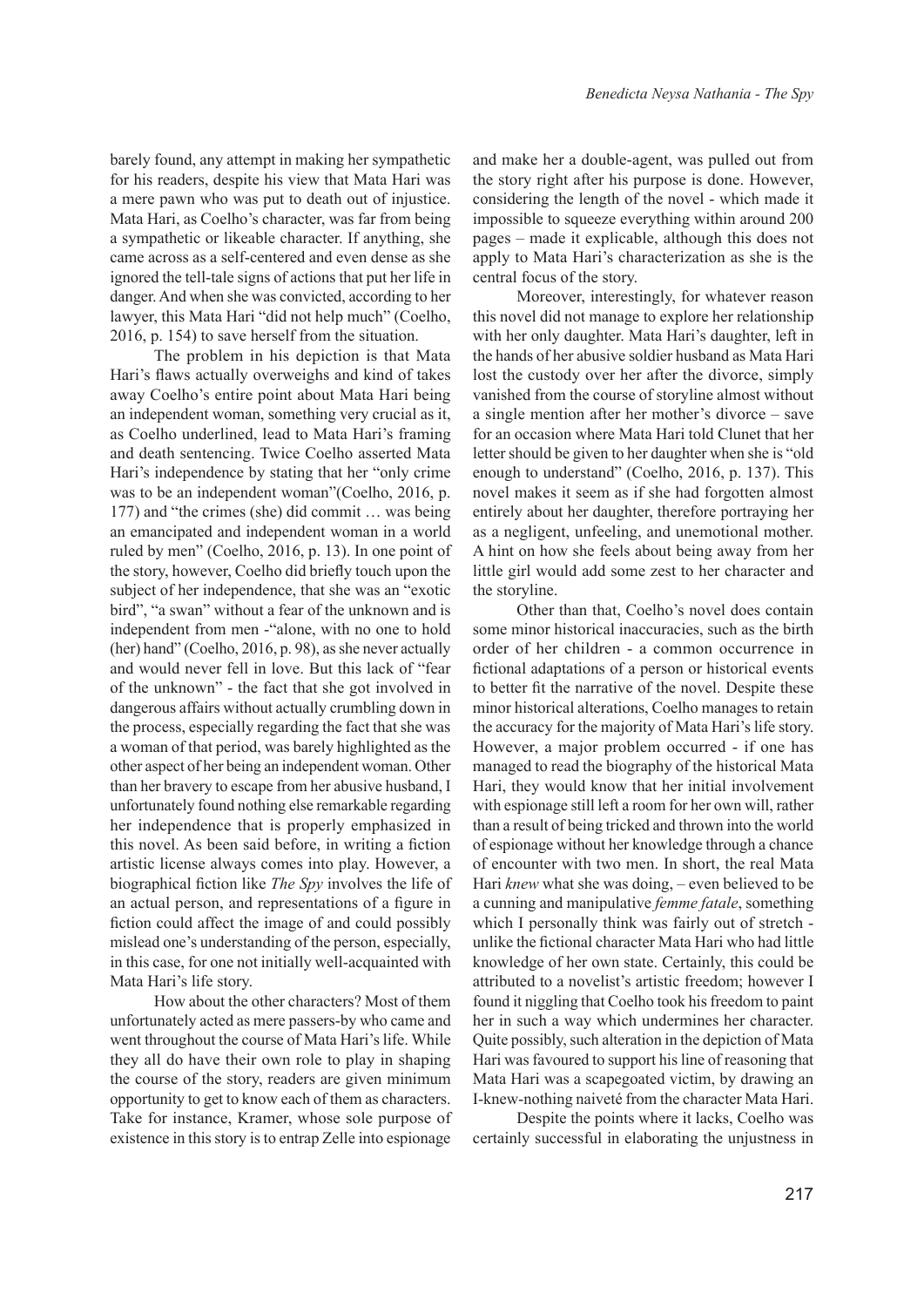barely found, any attempt in making her sympathetic for his readers, despite his view that Mata Hari was a mere pawn who was put to death out of injustice. Mata Hari, as Coelho's character, was far from being a sympathetic or likeable character. If anything, she came across as a self-centered and even dense as she ignored the tell-tale signs of actions that put her life in danger. And when she was convicted, according to her lawyer, this Mata Hari "did not help much" (Coelho, 2016, p. 154) to save herself from the situation.

The problem in his depiction is that Mata Hari's flaws actually overweighs and kind of takes away Coelho's entire point about Mata Hari being an independent woman, something very crucial as it, as Coelho underlined, lead to Mata Hari's framing and death sentencing. Twice Coelho asserted Mata Hari's independence by stating that her "only crime was to be an independent woman"(Coelho, 2016, p. 177) and "the crimes (she) did commit … was being an emancipated and independent woman in a world ruled by men" (Coelho, 2016, p. 13). In one point of the story, however, Coelho did briefly touch upon the subject of her independence, that she was an "exotic bird", "a swan" without a fear of the unknown and is independent from men -"alone, with no one to hold (her) hand" (Coelho, 2016, p. 98), as she never actually and would never fell in love. But this lack of "fear of the unknown" - the fact that she got involved in dangerous affairs without actually crumbling down in the process, especially regarding the fact that she was a woman of that period, was barely highlighted as the other aspect of her being an independent woman. Other than her bravery to escape from her abusive husband, I unfortunately found nothing else remarkable regarding her independence that is properly emphasized in this novel. As been said before, in writing a fiction artistic license always comes into play. However, a biographical fiction like *The Spy* involves the life of an actual person, and representations of a figure in fiction could affect the image of and could possibly mislead one's understanding of the person, especially, in this case, for one not initially well-acquainted with Mata Hari's life story.

How about the other characters? Most of them unfortunately acted as mere passers-by who came and went throughout the course of Mata Hari's life. While they all do have their own role to play in shaping the course of the story, readers are given minimum opportunity to get to know each of them as characters. Take for instance, Kramer, whose sole purpose of existence in this story is to entrap Zelle into espionage

and make her a double-agent, was pulled out from the story right after his purpose is done. However, considering the length of the novel - which made it impossible to squeeze everything within around 200 pages – made it explicable, although this does not apply to Mata Hari's characterization as she is the central focus of the story.

Moreover, interestingly, for whatever reason this novel did not manage to explore her relationship with her only daughter. Mata Hari's daughter, left in the hands of her abusive soldier husband as Mata Hari lost the custody over her after the divorce, simply vanished from the course of storyline almost without a single mention after her mother's divorce – save for an occasion where Mata Hari told Clunet that her letter should be given to her daughter when she is "old enough to understand" (Coelho, 2016, p. 137). This novel makes it seem as if she had forgotten almost entirely about her daughter, therefore portraying her as a negligent, unfeeling, and unemotional mother. A hint on how she feels about being away from her little girl would add some zest to her character and the storyline.

Other than that, Coelho's novel does contain some minor historical inaccuracies, such as the birth order of her children - a common occurrence in fictional adaptations of a person or historical events to better fit the narrative of the novel. Despite these minor historical alterations, Coelho manages to retain the accuracy for the majority of Mata Hari's life story. However, a major problem occurred - if one has managed to read the biography of the historical Mata Hari, they would know that her initial involvement with espionage still left a room for her own will, rather than a result of being tricked and thrown into the world of espionage without her knowledge through a chance of encounter with two men. In short, the real Mata Hari *knew* what she was doing, – even believed to be a cunning and manipulative *femme fatale*, something which I personally think was fairly out of stretch unlike the fictional character Mata Hari who had little knowledge of her own state. Certainly, this could be attributed to a novelist's artistic freedom; however I found it niggling that Coelho took his freedom to paint her in such a way which undermines her character. Quite possibly, such alteration in the depiction of Mata Hari was favoured to support his line of reasoning that Mata Hari was a scapegoated victim, by drawing an I-knew-nothing naiveté from the character Mata Hari.

Despite the points where it lacks, Coelho was certainly successful in elaborating the unjustness in